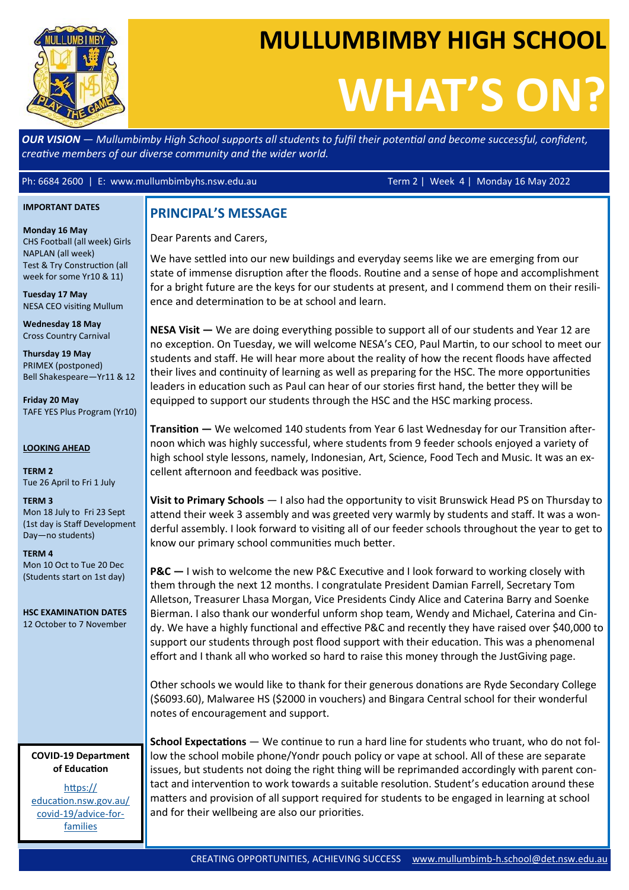

## **MULLUMBIMBY HIGH SCHOOL**

# **WHAT'S ON?**

*OUR VISION — Mullumbimby High School supports all students to fulfil their potential and become successful, confident, creative members of our diverse community and the wider world.*

Ph: 6684 2600 | E: www.mullumbimbyhs.nsw.edu.au Term 2 | Week 4 | Monday 16 May 2022

#### **IMPORTANT DATES**

**Monday 16 May** CHS Football (all week) Girls NAPLAN (all week) Test & Try Construction (all week for some Yr10 & 11)

**Tuesday 17 May** NESA CEO visiting Mullum

**Wednesday 18 May** Cross Country Carnival

**Thursday 19 May** PRIMEX (postponed) Bell Shakespeare—Yr11 & 12

**Friday 20 May** TAFE YES Plus Program (Yr10)

**LOOKING AHEAD**

**TERM 2** Tue 26 April to Fri 1 July

**TERM 3**

Mon 18 July to Fri 23 Sept (1st day is Staff Development Day—no students)

#### **TERM 4**

Mon 10 Oct to Tue 20 Dec (Students start on 1st day)

**HSC EXAMINATION DATES** 12 October to 7 November

#### **COVID-19 Department of Education**

[https://](https://education.nsw.gov.au/covid-19/advice-for-families) [education.nsw.gov.au/](https://education.nsw.gov.au/covid-19/advice-for-families) covid-[19/advice](https://education.nsw.gov.au/covid-19/advice-for-families)-for[families](https://education.nsw.gov.au/covid-19/advice-for-families)

Dear Parents and Carers,

We have settled into our new buildings and everyday seems like we are emerging from our state of immense disruption after the floods. Routine and a sense of hope and accomplishment for a bright future are the keys for our students at present, and I commend them on their resilience and determination to be at school and learn.

**NESA Visit —** We are doing everything possible to support all of our students and Year 12 are no exception. On Tuesday, we will welcome NESA's CEO, Paul Martin, to our school to meet our students and staff. He will hear more about the reality of how the recent floods have affected their lives and continuity of learning as well as preparing for the HSC. The more opportunities leaders in education such as Paul can hear of our stories first hand, the better they will be equipped to support our students through the HSC and the HSC marking process.

**Transition —** We welcomed 140 students from Year 6 last Wednesday for our Transition afternoon which was highly successful, where students from 9 feeder schools enjoyed a variety of high school style lessons, namely, Indonesian, Art, Science, Food Tech and Music. It was an excellent afternoon and feedback was positive.

**Visit to Primary Schools** — I also had the opportunity to visit Brunswick Head PS on Thursday to attend their week 3 assembly and was greeted very warmly by students and staff. It was a wonderful assembly. I look forward to visiting all of our feeder schools throughout the year to get to know our primary school communities much better.

**PRINCIPAL'S MESSAGE**<br>
Dear Parents and Carers,<br>
We have settled into our new<br>
state of immense disruption<br>
for a bright future are the kee<br>
ence and determination to bi<br>
NESA Visit — We are doing e<br>
no exception. On Tuesd **P&C —** I wish to welcome the new P&C Executive and I look forward to working closely with them through the next 12 months. I congratulate President Damian Farrell, Secretary Tom Alletson, Treasurer Lhasa Morgan, Vice Presidents Cindy Alice and Caterina Barry and Soenke Bierman. I also thank our wonderful unform shop team, Wendy and Michael, Caterina and Cindy. We have a highly functional and effective P&C and recently they have raised over \$40,000 to support our students through post flood support with their education. This was a phenomenal effort and I thank all who worked so hard to raise this money through the JustGiving page.

Other schools we would like to thank for their generous donations are Ryde Secondary College (\$6093.60), Malwaree HS (\$2000 in vouchers) and Bingara Central school for their wonderful notes of encouragement and support.

**School Expectations** — We continue to run a hard line for students who truant, who do not follow the school mobile phone/Yondr pouch policy or vape at school. All of these are separate issues, but students not doing the right thing will be reprimanded accordingly with parent contact and intervention to work towards a suitable resolution. Student's education around these matters and provision of all support required for students to be engaged in learning at school and for their wellbeing are also our priorities.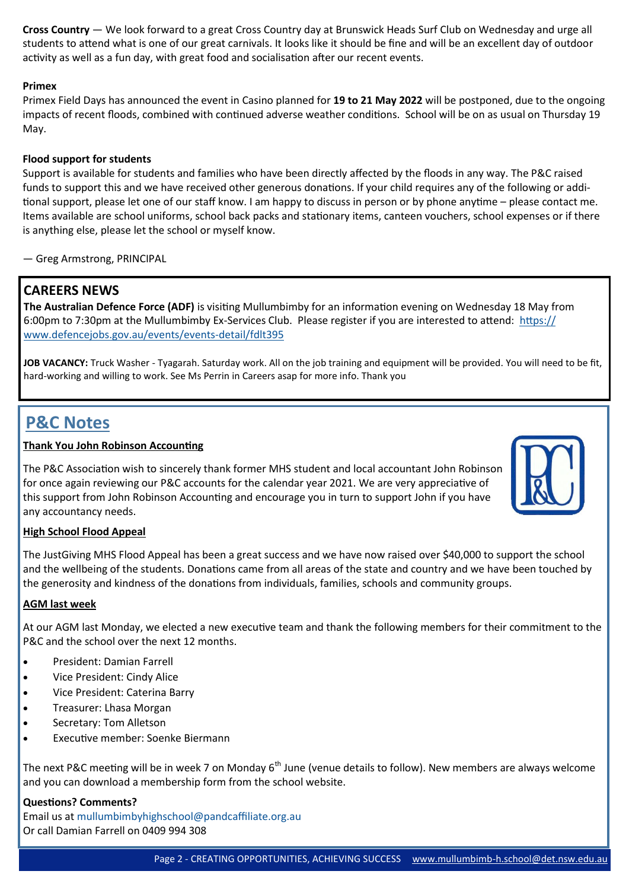**Cross Country** — We look forward to a great Cross Country day at Brunswick Heads Surf Club on Wednesday and urge all students to attend what is one of our great carnivals. It looks like it should be fine and will be an excellent day of outdoor activity as well as a fun day, with great food and socialisation after our recent events.

#### **Primex**

Primex Field Days has announced the event in Casino planned for **19 to 21 May 2022** will be postponed, due to the ongoing impacts of recent floods, combined with continued adverse weather conditions. School will be on as usual on Thursday 19 May.

#### **Flood support for students**

Support is available for students and families who have been directly affected by the floods in any way. The P&C raised funds to support this and we have received other generous donations. If your child requires any of the following or additional support, please let one of our staff know. I am happy to discuss in person or by phone anytime – please contact me. Items available are school uniforms, school back packs and stationary items, canteen vouchers, school expenses or if there is anything else, please let the school or myself know.

— Greg Armstrong, PRINCIPAL

#### **CAREERS NEWS**

**The Australian Defence Force (ADF)** is visiting Mullumbimby for an information evening on Wednesday 18 May from 6:00pm to 7:30pm at the Mullumbimby Ex-Services Club. Please register if you are interested to attend: [https://](https://www.defencejobs.gov.au/events/events-detail/fdlt395) [www.defencejobs.gov.au/events/events](https://www.defencejobs.gov.au/events/events-detail/fdlt395)-detail/fdlt395

**JOB VACANCY:** Truck Washer - Tyagarah. Saturday work. All on the job training and equipment will be provided. You will need to be fit, hard-working and willing to work. See Ms Perrin in Careers asap for more info. Thank you

### **P&C Notes**

#### **Thank You John Robinson Accounting**

The P&C Association wish to sincerely thank former MHS student and local accountant John Robinson for once again reviewing our P&C accounts for the calendar year 2021. We are very appreciative of this support from John Robinson Accounting and encourage you in turn to support John if you have any accountancy needs.



#### **High School Flood Appeal**

The JustGiving MHS Flood Appeal has been a great success and we have now raised over \$40,000 to support the school and the wellbeing of the students. Donations came from all areas of the state and country and we have been touched by the generosity and kindness of the donations from individuals, families, schools and community groups.

#### **AGM last week**

At our AGM last Monday, we elected a new executive team and thank the following members for their commitment to the P&C and the school over the next 12 months.

- President: Damian Farrell
- Vice President: Cindy Alice
- Vice President: Caterina Barry
- Treasurer: Lhasa Morgan
- Secretary: Tom Alletson
- Executive member: Soenke Biermann

The next P&C meeting will be in week 7 on Monday  $6<sup>th</sup>$  June (venue details to follow). New members are always welcome and you can download a membership form from the school website.

**Questions? Comments?** Email us at [mullumbimbyhighschool@pandcaffiliate.org.au](mailto:mullumbimbyhighschool@pandcaffiliate.org.au) Or call Damian Farrell on 0409 994 308